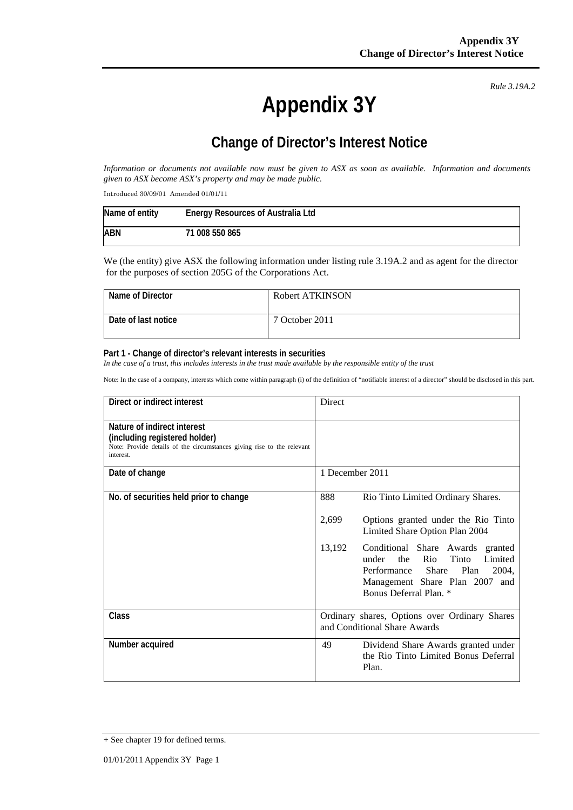**Appendix 3Y** 

*Rule 3.19A.2*

## **Change of Director's Interest Notice**

*Information or documents not available now must be given to ASX as soon as available. Information and documents given to ASX become ASX's property and may be made public.* 

Introduced 30/09/01 Amended 01/01/11

| Name of entity | <b>Energy Resources of Australia Ltd</b> |
|----------------|------------------------------------------|
| ABN            | 71 008 550 865                           |

We (the entity) give ASX the following information under listing rule 3.19A.2 and as agent for the director for the purposes of section 205G of the Corporations Act.

| Name of Director    | Robert ATKINSON |
|---------------------|-----------------|
| Date of last notice | 7 October 2011  |

## **Part 1 - Change of director's relevant interests in securities**

In the case of a trust, this includes interests in the trust made available by the responsible entity of the trust

Note: In the case of a company, interests which come within paragraph (i) of the definition of "notifiable interest of a director" should be disclosed in this part.

| Direct or indirect interest                                                                                                                         | <b>Direct</b>                                                                                                                                                                                     |  |
|-----------------------------------------------------------------------------------------------------------------------------------------------------|---------------------------------------------------------------------------------------------------------------------------------------------------------------------------------------------------|--|
| Nature of indirect interest<br>(including registered holder)<br>Note: Provide details of the circumstances giving rise to the relevant<br>interest. |                                                                                                                                                                                                   |  |
| Date of change                                                                                                                                      | 1 December 2011                                                                                                                                                                                   |  |
| No. of securities held prior to change                                                                                                              | 888<br>Rio Tinto Limited Ordinary Shares.                                                                                                                                                         |  |
|                                                                                                                                                     | 2,699<br>Options granted under the Rio Tinto<br>Limited Share Option Plan 2004                                                                                                                    |  |
|                                                                                                                                                     | 13,192<br>Conditional Share Awards granted<br>Rio<br>Tinto<br>Limited<br>under<br>the<br>Plan<br>Performance<br><b>Share</b><br>2004,<br>Management Share Plan 2007 and<br>Bonus Deferral Plan. * |  |
| Class                                                                                                                                               | Ordinary shares, Options over Ordinary Shares<br>and Conditional Share Awards                                                                                                                     |  |
| Number acquired                                                                                                                                     | 49<br>Dividend Share Awards granted under<br>the Rio Tinto Limited Bonus Deferral<br>Plan.                                                                                                        |  |

<sup>+</sup> See chapter 19 for defined terms.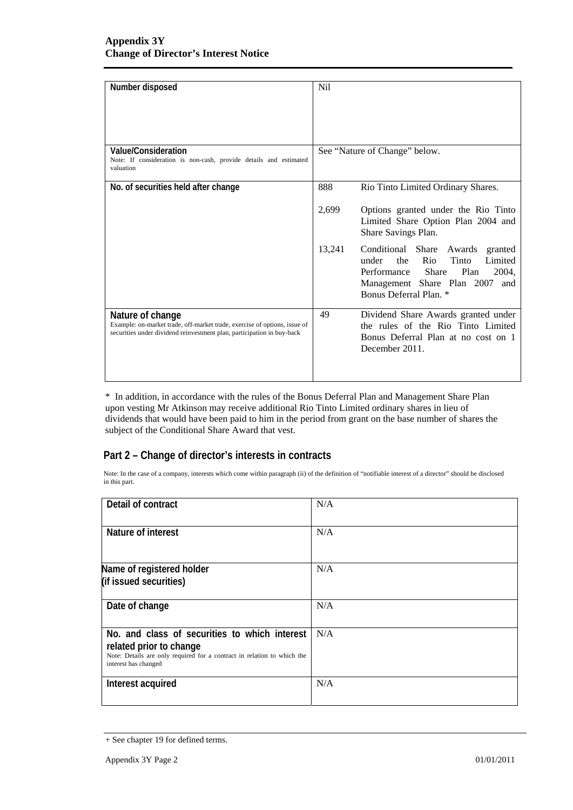| Number disposed                                                                                                                                                         | <b>Nil</b>                                                                                                                                                                                        |  |
|-------------------------------------------------------------------------------------------------------------------------------------------------------------------------|---------------------------------------------------------------------------------------------------------------------------------------------------------------------------------------------------|--|
| Value/Consideration<br>Note: If consideration is non-cash, provide details and estimated<br>valuation                                                                   | See "Nature of Change" below.                                                                                                                                                                     |  |
| No. of securities held after change                                                                                                                                     | 888<br>Rio Tinto Limited Ordinary Shares.                                                                                                                                                         |  |
|                                                                                                                                                                         | 2,699<br>Options granted under the Rio Tinto<br>Limited Share Option Plan 2004 and<br>Share Savings Plan.                                                                                         |  |
|                                                                                                                                                                         | 13,241<br>Conditional Share Awards granted<br>Rio<br>Tinto<br>Limited<br>under<br>the<br>Performance Share<br>2004,<br>Plan<br>Management Share Plan 2007<br>and<br><b>Bonus Deferral Plan.</b> * |  |
| Nature of change<br>Example: on-market trade, off-market trade, exercise of options, issue of<br>securities under dividend reinvestment plan, participation in buy-back | 49<br>Dividend Share Awards granted under<br>the rules of the Rio Tinto Limited<br>Bonus Deferral Plan at no cost on 1<br>December 2011.                                                          |  |

\* In addition, in accordance with the rules of the Bonus Deferral Plan and Management Share Plan upon vesting Mr Atkinson may receive additional Rio Tinto Limited ordinary shares in lieu of dividends that would have been paid to him in the period from grant on the base number of shares the subject of the Conditional Share Award that vest.

## **Part 2 – Change of director's interests in contracts**

Note: In the case of a company, interests which come within paragraph (ii) of the definition of "notifiable interest of a director" should be disclosed in this part.

| Detail of contract                                                                                                                                                          | N/A |  |
|-----------------------------------------------------------------------------------------------------------------------------------------------------------------------------|-----|--|
| Nature of interest                                                                                                                                                          | N/A |  |
| Name of registered holder<br>(if issued securities)                                                                                                                         | N/A |  |
| Date of change                                                                                                                                                              | N/A |  |
| No. and class of securities to which interest<br>related prior to change<br>Note: Details are only required for a contract in relation to which the<br>interest has changed | N/A |  |
| Interest acquired                                                                                                                                                           | N/A |  |

<sup>+</sup> See chapter 19 for defined terms.